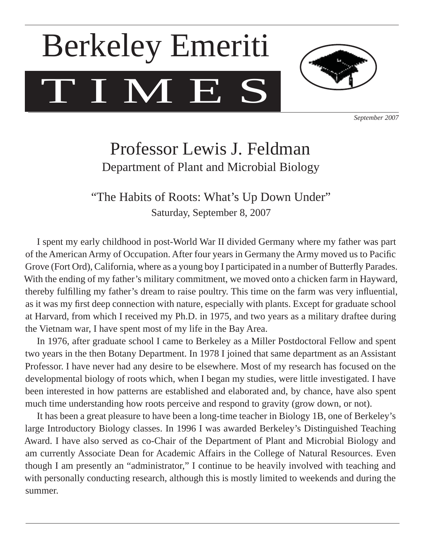# TIMES Berkeley Emeriti



*September 2007*

## Professor Lewis J. Feldman Department of Plant and Microbial Biology

"The Habits of Roots: What's Up Down Under" Saturday, September 8, 2007

 I spent my early childhood in post-World War II divided Germany where my father was part of the American Army of Occupation. After four years in Germany the Army moved us to Pacific Grove (Fort Ord), California, where as a young boy I participated in a number of Butterfly Parades. With the ending of my father's military commitment, we moved onto a chicken farm in Hayward, thereby fulfilling my father's dream to raise poultry. This time on the farm was very influential, as it was my first deep connection with nature, especially with plants. Except for graduate school at Harvard, from which I received my Ph.D. in 1975, and two years as a military draftee during the Vietnam war, I have spent most of my life in the Bay Area.

 In 1976, after graduate school I came to Berkeley as a Miller Postdoctoral Fellow and spent two years in the then Botany Department. In 1978 I joined that same department as an Assistant Professor. I have never had any desire to be elsewhere. Most of my research has focused on the developmental biology of roots which, when I began my studies, were little investigated. I have been interested in how patterns are established and elaborated and, by chance, have also spent much time understanding how roots perceive and respond to gravity (grow down, or not).

 It has been a great pleasure to have been a long-time teacher in Biology 1B, one of Berkeley's large Introductory Biology classes. In 1996 I was awarded Berkeley's Distinguished Teaching Award. I have also served as co-Chair of the Department of Plant and Microbial Biology and am currently Associate Dean for Academic Affairs in the College of Natural Resources. Even though I am presently an "administrator," I continue to be heavily involved with teaching and with personally conducting research, although this is mostly limited to weekends and during the summer.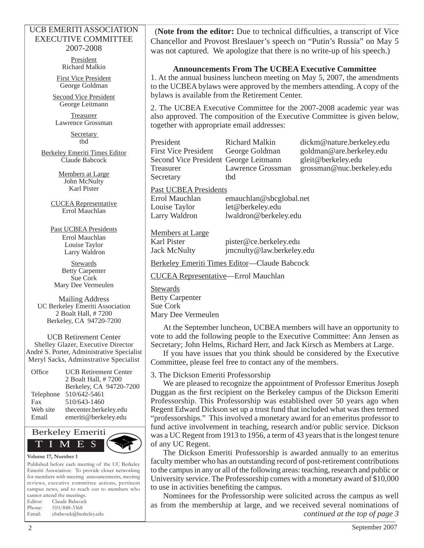#### UCB EMERITI ASSOCIATION EXECUTIVE COMMITTEE 2007-2008

President Richard Malkin

First Vice President George Goldman

Second Vice President George Leitmann

Treasurer Lawrence Grossman

> Secretary tbd

Berkeley Emeriti Times Editor Claude Babcock

> Members at Large John McNulty Karl Pister

CUCEA Representative Errol Mauchlan

Past UCBEA Presidents Errol Mauchlan Louise Taylor Larry Waldron

**Stewards** Betty Carpenter Sue Cork Mary Dee Vermeulen

Mailing Address UC Berkeley Emeriti Association 2 Boalt Hall, # 7200 Berkeley, CA 94720-7200

UCB Retirement Center Shelley Glazer, Executive Director André S. Porter, Administrative Specialist Meryl Sacks, Adminstrative Specialist

| <b>UCB Retirement Center</b> |
|------------------------------|
| 2 Boalt Hall, #7200          |
| Berkeley, CA 94720-7200      |
| 510/642-5461                 |
| 510/643-1460                 |
| thecenter.berkeley.edu       |
| emeriti@berkeley.edu         |
|                              |



Published before each meeting of the UC Berkeley Emeriti Association: To provide closer networking for members with meeting announcements, meeting reviews, executive committee actions, pertinent campus news, and to reach out to members who cannot attend the meetings.

| cannot attend the incentigs. |                       |
|------------------------------|-----------------------|
| Editor:                      | Claude Babcock        |
| Phone:                       | 510/848-3368          |
| Email:                       | cbabcock@berkeley.edu |
|                              |                       |

(**Note from the editor:** Due to technical difficulties, a transcript of Vice Chancellor and Provost Breslauer's speech on "Putin's Russia" on May 5 was not captured. We apologize that there is no write-up of his speech.)

### **Announcements From The UCBEA Executive Committee**

1. At the annual business luncheon meeting on May 5, 2007, the amendments to the UCBEA bylaws were approved by the members attending. A copy of the bylaws is available from the Retirement Center.

2. The UCBEA Executive Committee for the 2007-2008 academic year was also approved. The composition of the Executive Committee is given below, together with appropriate email addresses:

Second Vice President George Leitmann gleit@berkeley.edu Secretary tbd

President Richard Malkin dickm@nature.berkeley.edu First Vice President George Goldman goldman@are.berkeley.edu Treasurer Lawrence Grossman grossman@nuc.berkeley.edu

Past UCBEA Presidents Errol Mauchlan emauchlan@sbcglobal.net Louise Taylor let@berkeley.edu Larry Waldron lwaldron@berkeley.edu

#### Members at Large

Karl Pister pister@ce.berkeley.edu Jack McNulty jmcnulty@law.berkeley.edu

Berkeley Emeriti Times Editor—Claude Babcock

CUCEA Representative—Errol Mauchlan

**Stewards** Betty Carpenter Sue Cork Mary Dee Vermeulen

 At the September luncheon, UCBEA members will have an opportunity to vote to add the following people to the Executive Committee: Ann Jensen as Secretary; John Helms, Richard Herr, and Jack Kirsch as Members at Large.

 If you have issues that you think should be considered by the Executive Committee, please feel free to contact any of the members.

#### 3. The Dickson Emeriti Professorship

 We are pleased to recognize the appointment of Professor Emeritus Joseph Duggan as the first recipient on the Berkeley campus of the Dickson Emeriti Professorship. This Professorship was established over 50 years ago when Regent Edward Dickson set up a trust fund that included what was then termed "professorships." This involved a monetary award for an emeritus professor to fund active involvement in teaching, research and/or public service. Dickson was a UC Regent from 1913 to 1956, a term of 43 years that is the longest tenure of any UC Regent.

 The Dickson Emeriti Professorship is awarded annually to an emeritus faculty member who has an outstanding record of post-retirement contributions to the campus in any or all of the following areas: teaching, research and public or University service. The Professorship comes with a monetary award of \$10,000 to use in activities benefiting the campus.

 Nominees for the Professorship were solicited across the campus as well as from the membership at large, and we received several nominations of *continued at the top of page 3*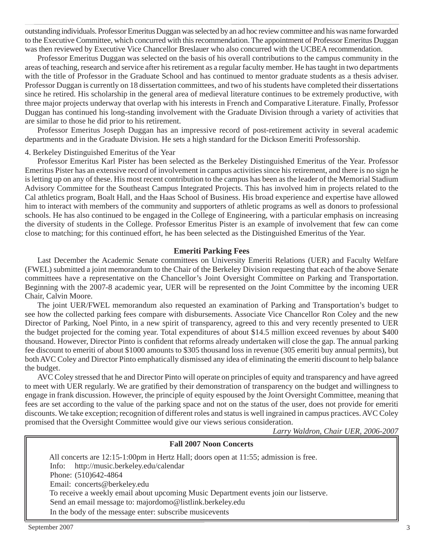outstanding individuals. Professor Emeritus Duggan was selected by an ad hoc review committee and his was name forwarded to the Executive Committee, which concurred with this recommendation. The appointment of Professor Emeritus Duggan was then reviewed by Executive Vice Chancellor Breslauer who also concurred with the UCBEA recommendation.

 Professor Emeritus Duggan was selected on the basis of his overall contributions to the campus community in the areas of teaching, research and service after his retirement as a regular faculty member. He has taught in two departments with the title of Professor in the Graduate School and has continued to mentor graduate students as a thesis adviser. Professor Duggan is currently on 18 dissertation committees, and two of his students have completed their dissertations since he retired. His scholarship in the general area of medieval literature continues to be extremely productive, with three major projects underway that overlap with his interests in French and Comparative Literature. Finally, Professor Duggan has continued his long-standing involvement with the Graduate Division through a variety of activities that are similar to those he did prior to his retirement.

 Professor Emeritus Joseph Duggan has an impressive record of post-retirement activity in several academic departments and in the Graduate Division. He sets a high standard for the Dickson Emeriti Professorship.

#### 4. Berkeley Distinguished Emeritus of the Year

 Professor Emeritus Karl Pister has been selected as the Berkeley Distinguished Emeritus of the Year. Professor Emeritus Pister has an extensive record of involvement in campus activities since his retirement, and there is no sign he is letting up on any of these. His most recent contribution to the campus has been as the leader of the Memorial Stadium Advisory Committee for the Southeast Campus Integrated Projects. This has involved him in projects related to the Cal athletics program, Boalt Hall, and the Haas School of Business. His broad experience and expertise have allowed him to interact with members of the community and supporters of athletic programs as well as donors to professional schools. He has also continued to be engaged in the College of Engineering, with a particular emphasis on increasing the diversity of students in the College. Professor Emeritus Pister is an example of involvement that few can come close to matching; for this continued effort, he has been selected as the Distinguished Emeritus of the Year.

#### **Emeriti Parking Fees**

 Last December the Academic Senate committees on University Emeriti Relations (UER) and Faculty Welfare (FWEL) submitted a joint memorandum to the Chair of the Berkeley Division requesting that each of the above Senate committees have a representative on the Chancellor's Joint Oversight Committee on Parking and Transportation. Beginning with the 2007-8 academic year, UER will be represented on the Joint Committee by the incoming UER Chair, Calvin Moore.

 The joint UER/FWEL memorandum also requested an examination of Parking and Transportation's budget to see how the collected parking fees compare with disbursements. Associate Vice Chancellor Ron Coley and the new Director of Parking, Noel Pinto, in a new spirit of transparency, agreed to this and very recently presented to UER the budget projected for the coming year. Total expenditures of about \$14.5 million exceed revenues by about \$400 thousand. However, Director Pinto is confident that reforms already undertaken will close the gap. The annual parking fee discount to emeriti of about \$1000 amounts to \$305 thousand loss in revenue (305 emeriti buy annual permits), but both AVC Coley and Director Pinto emphatically dismissed any idea of eliminating the emeriti discount to help balance the budget.

 AVC Coley stressed that he and Director Pinto will operate on principles of equity and transparency and have agreed to meet with UER regularly. We are gratified by their demonstration of transparency on the budget and willingness to engage in frank discussion. However, the principle of equity espoused by the Joint Oversight Committee, meaning that fees are set according to the value of the parking space and not on the status of the user, does not provide for emeriti discounts. We take exception; recognition of different roles and status is well ingrained in campus practices. AVC Coley promised that the Oversight Committee would give our views serious consideration.

*Larry Waldron, Chair UER, 2006-2007*

#### **Fall 2007 Noon Concerts**

All concerts are 12:15-1:00pm in Hertz Hall; doors open at 11:55; admission is free. Info: http://music.berkeley.edu/calendar Phone: (510)642-4864 Email: concerts@berkeley.edu To receive a weekly email about upcoming Music Department events join our listserve. Send an email message to: majordomo@listlink.berkeley.edu In the body of the message enter: subscribe musicevents